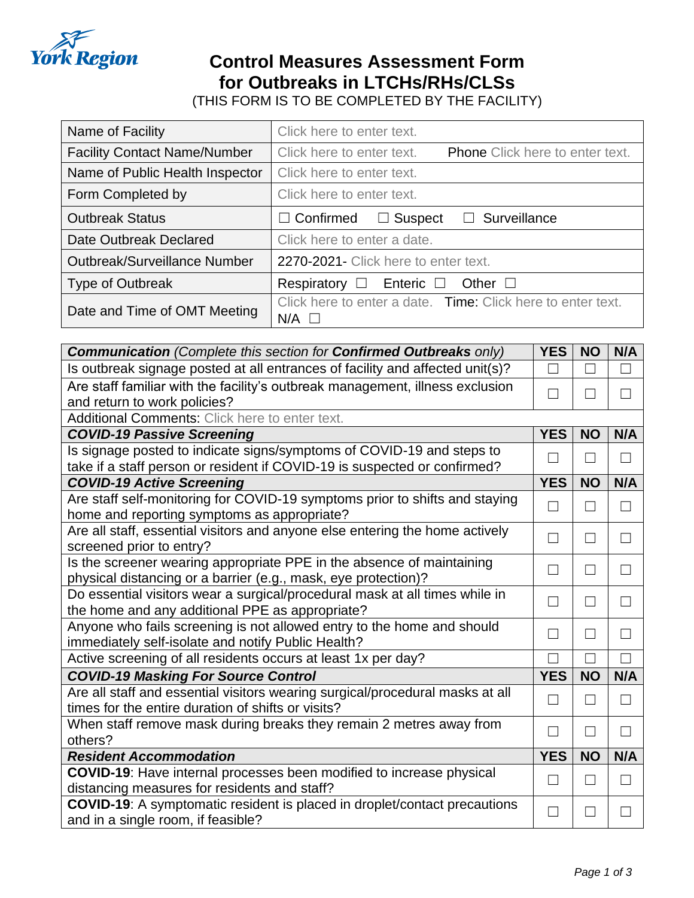

## **Control Measures Assessment Form for Outbreaks in LTCHs/RHs/CLSs**

(THIS FORM IS TO BE COMPLETED BY THE FACILITY)

| Name of Facility                    | Click here to enter text.                                                      |
|-------------------------------------|--------------------------------------------------------------------------------|
| <b>Facility Contact Name/Number</b> | Click here to enter text.<br><b>Phone</b> Click here to enter text.            |
| Name of Public Health Inspector     | Click here to enter text.                                                      |
| Form Completed by                   | Click here to enter text.                                                      |
| <b>Outbreak Status</b>              | Surveillance<br>$\Box$ Suspect<br>$\Box$ Confirmed<br>$\Box$                   |
| Date Outbreak Declared              | Click here to enter a date.                                                    |
| <b>Outbreak/Surveillance Number</b> | 2270-2021 - Click here to enter text.                                          |
| <b>Type of Outbreak</b>             | Respiratory $\square$ Enteric $\square$ Other $\square$                        |
| Date and Time of OMT Meeting        | Click here to enter a date. Time: Click here to enter text.<br>$N/A$ $\square$ |

| <b>Communication</b> (Complete this section for <b>Confirmed Outbreaks</b> only) |   |               | N/A    |
|----------------------------------------------------------------------------------|---|---------------|--------|
| Is outbreak signage posted at all entrances of facility and affected unit(s)?    |   |               |        |
| Are staff familiar with the facility's outbreak management, illness exclusion    |   |               |        |
| and return to work policies?                                                     |   |               |        |
| <b>Additional Comments: Click here to enter text.</b>                            |   |               |        |
| <b>COVID-19 Passive Screening</b>                                                |   | <b>NO</b>     | N/A    |
| Is signage posted to indicate signs/symptoms of COVID-19 and steps to            |   |               | $\Box$ |
| take if a staff person or resident if COVID-19 is suspected or confirmed?        |   |               |        |
| <b>COVID-19 Active Screening</b>                                                 |   | <b>NO</b>     | N/A    |
| Are staff self-monitoring for COVID-19 symptoms prior to shifts and staying      |   |               | $\Box$ |
| home and reporting symptoms as appropriate?                                      |   |               |        |
| Are all staff, essential visitors and anyone else entering the home actively     |   | $\mathcal{L}$ | $\Box$ |
| screened prior to entry?                                                         |   |               |        |
| Is the screener wearing appropriate PPE in the absence of maintaining            |   | $\mathcal{L}$ | $\Box$ |
| physical distancing or a barrier (e.g., mask, eye protection)?                   |   |               |        |
| Do essential visitors wear a surgical/procedural mask at all times while in      |   |               |        |
| the home and any additional PPE as appropriate?                                  |   |               |        |
| Anyone who fails screening is not allowed entry to the home and should           |   |               | ×.     |
| immediately self-isolate and notify Public Health?                               |   |               |        |
| Active screening of all residents occurs at least 1x per day?                    |   |               |        |
| <b>COVID-19 Masking For Source Control</b>                                       |   | <b>NO</b>     | N/A    |
| Are all staff and essential visitors wearing surgical/procedural masks at all    | П | $\mathcal{L}$ | $\Box$ |
| times for the entire duration of shifts or visits?                               |   |               |        |
| When staff remove mask during breaks they remain 2 metres away from              |   |               |        |
| others?                                                                          |   |               |        |
| <b>Resident Accommodation</b>                                                    |   | <b>NO</b>     | N/A    |
| <b>COVID-19:</b> Have internal processes been modified to increase physical      | П | $\mathcal{L}$ | $\Box$ |
| distancing measures for residents and staff?                                     |   |               |        |
| <b>COVID-19:</b> A symptomatic resident is placed in droplet/contact precautions |   |               |        |
| and in a single room, if feasible?                                               |   |               |        |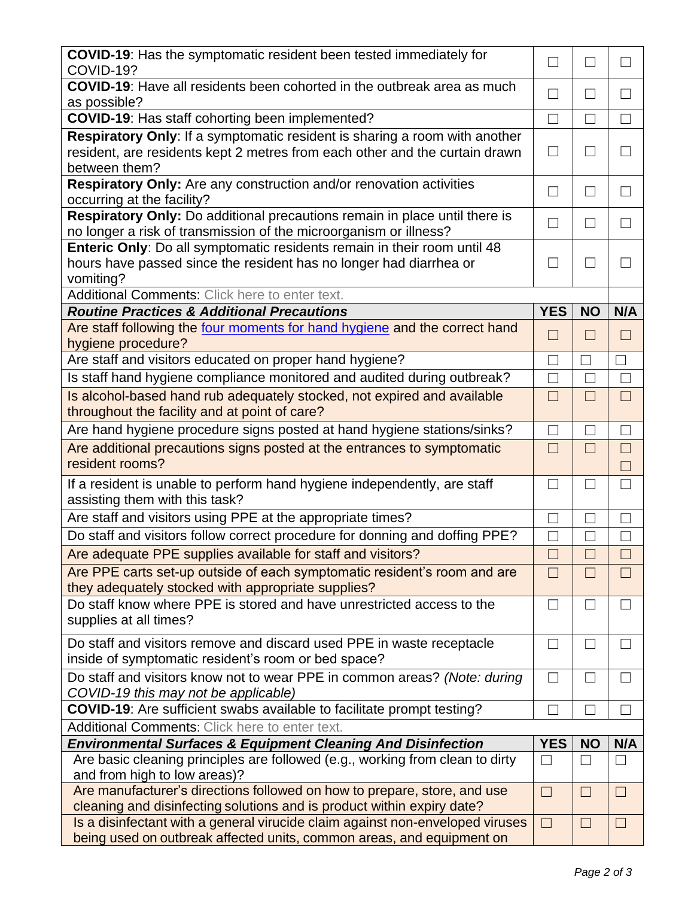| COVID-19: Has the symptomatic resident been tested immediately for<br>COVID-19?                                                                             | $\vert \ \ \vert$ | $\Box$                   | $\Box$            |
|-------------------------------------------------------------------------------------------------------------------------------------------------------------|-------------------|--------------------------|-------------------|
| <b>COVID-19:</b> Have all residents been cohorted in the outbreak area as much<br>as possible?                                                              |                   | $\Box$                   | $\Box$            |
| COVID-19: Has staff cohorting been implemented?                                                                                                             |                   |                          |                   |
| Respiratory Only: If a symptomatic resident is sharing a room with another                                                                                  |                   |                          |                   |
| resident, are residents kept 2 metres from each other and the curtain drawn<br>between them?                                                                |                   |                          |                   |
| Respiratory Only: Are any construction and/or renovation activities<br>occurring at the facility?                                                           |                   | ⊔                        | $\Box$            |
| Respiratory Only: Do additional precautions remain in place until there is<br>no longer a risk of transmission of the microorganism or illness?             | $\Box$            | П                        | $\Box$            |
| Enteric Only: Do all symptomatic residents remain in their room until 48<br>hours have passed since the resident has no longer had diarrhea or<br>vomiting? |                   |                          |                   |
| Additional Comments: Click here to enter text.                                                                                                              |                   |                          |                   |
| <b>Routine Practices &amp; Additional Precautions</b>                                                                                                       | <b>YES</b>        | <b>NO</b>                | N/A               |
| Are staff following the four moments for hand hygiene and the correct hand<br>hygiene procedure?                                                            |                   | $\Box$                   | H                 |
| Are staff and visitors educated on proper hand hygiene?                                                                                                     | П                 |                          | П                 |
| Is staff hand hygiene compliance monitored and audited during outbreak?                                                                                     | $\blacksquare$    |                          | $\Box$            |
| Is alcohol-based hand rub adequately stocked, not expired and available<br>throughout the facility and at point of care?                                    |                   |                          | П                 |
| Are hand hygiene procedure signs posted at hand hygiene stations/sinks?                                                                                     |                   | $\Box$                   | П                 |
| Are additional precautions signs posted at the entrances to symptomatic<br>resident rooms?                                                                  |                   | $\Box$                   | $\Box$            |
| If a resident is unable to perform hand hygiene independently, are staff<br>assisting them with this task?                                                  |                   |                          | П                 |
| Are staff and visitors using PPE at the appropriate times?                                                                                                  | $\Box$            | П                        | $\Box$            |
| Do staff and visitors follow correct procedure for donning and doffing PPE?                                                                                 |                   |                          |                   |
| Are adequate PPE supplies available for staff and visitors?                                                                                                 |                   | $\Box$                   | $\Box$            |
| Are PPE carts set-up outside of each symptomatic resident's room and are<br>they adequately stocked with appropriate supplies?                              |                   |                          |                   |
| Do staff know where PPE is stored and have unrestricted access to the<br>supplies at all times?                                                             |                   | $\Box$                   |                   |
| Do staff and visitors remove and discard used PPE in waste receptacle<br>inside of symptomatic resident's room or bed space?                                |                   | $\overline{\phantom{a}}$ |                   |
| Do staff and visitors know not to wear PPE in common areas? (Note: during<br>COVID-19 this may not be applicable)                                           |                   | $\Box$                   | $\vert \ \ \vert$ |
| <b>COVID-19:</b> Are sufficient swabs available to facilitate prompt testing?                                                                               |                   |                          |                   |
| Additional Comments: Click here to enter text.                                                                                                              |                   |                          |                   |
| <b>Environmental Surfaces &amp; Equipment Cleaning And Disinfection</b>                                                                                     | <b>YES</b>        | <b>NO</b>                | N/A               |
| Are basic cleaning principles are followed (e.g., working from clean to dirty<br>and from high to low areas)?                                               |                   |                          |                   |
| Are manufacturer's directions followed on how to prepare, store, and use<br>cleaning and disinfecting solutions and is product within expiry date?          |                   | $\Box$                   | $\Box$            |
| Is a disinfectant with a general virucide claim against non-enveloped viruses<br>being used on outbreak affected units, common areas, and equipment on      | $\Box$            | $\vert \ \ \vert$        | $\Box$            |